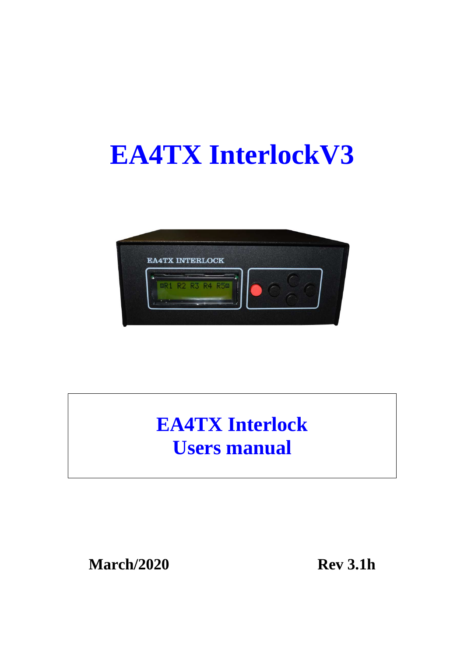# **EA4TX InterlockV3**



## **EA4TX Interlock Users manual**

**March/2020 Rev 3.1h**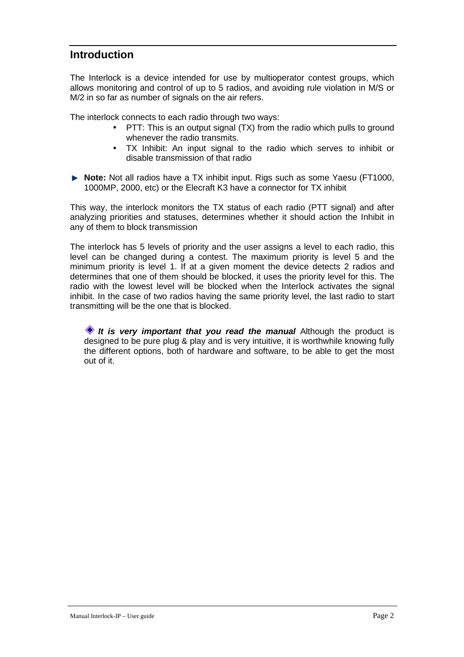## **Introduction**

The Interlock is a device intended for use by multioperator contest groups, which allows monitoring and control of up to 5 radios, and avoiding rule violation in M/S or M/2 in so far as number of signals on the air refers.

The interlock connects to each radio through two ways:

- PTT: This is an output signal (TX) from the radio which pulls to ground whenever the radio transmits.
- TX Inhibit: An input signal to the radio which serves to inhibit or disable transmission of that radio
- ▶ **Note:** Not all radios have a TX inhibit input. Rigs such as some Yaesu (FT1000, 1000MP, 2000, etc) or the Elecraft K3 have a connector for TX inhibit

This way, the interlock monitors the TX status of each radio (PTT signal) and after analyzing priorities and statuses, determines whether it should action the Inhibit in any of them to block transmission

The interlock has 5 levels of priority and the user assigns a level to each radio, this level can be changed during a contest. The maximum priority is level 5 and the minimum priority is level 1. If at a given moment the device detects 2 radios and determines that one of them should be blocked, it uses the priority level for this. The radio with the lowest level will be blocked when the Interlock activates the signal inhibit. In the case of two radios having the same priority level, the last radio to start transmitting will be the one that is blocked.

**It is very important that you read the manual** Although the product is designed to be pure plug & play and is very intuitive, it is worthwhile knowing fully the different options, both of hardware and software, to be able to get the most out of it.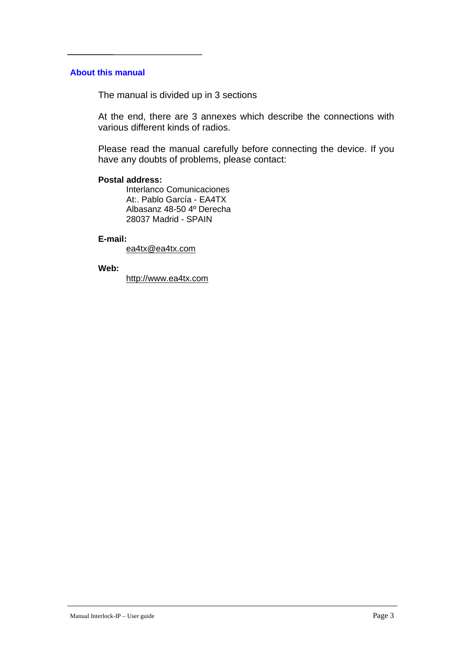#### **About this manual**

The manual is divided up in 3 sections

At the end, there are 3 annexes which describe the connections with various different kinds of radios.

Please read the manual carefully before connecting the device. If you have any doubts of problems, please contact:

#### **Postal address:**

 Interlanco Comunicaciones At:. Pablo García - EA4TX Albasanz 48-50 4º Derecha 28037 Madrid - SPAIN

#### **E-mail:**

ea4tx@ea4tx.com

#### **Web:**

http://www.ea4tx.com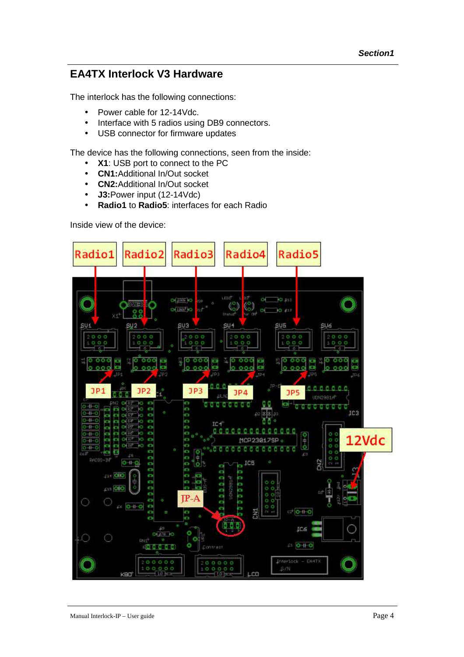## **EA4TX Interlock V3 Hardware**

The interlock has the following connections:

- Power cable for 12-14Vdc.
- Interface with 5 radios using DB9 connectors.
- USB connector for firmware updates

The device has the following connections, seen from the inside:

- **X1**: USB port to connect to the PC
- **CN1:**Additional In/Out socket
- **CN2:**Additional In/Out socket
- **J3:**Power input (12-14Vdc)
- **Radio1** to **Radio5**: interfaces for each Radio

Inside view of the device:

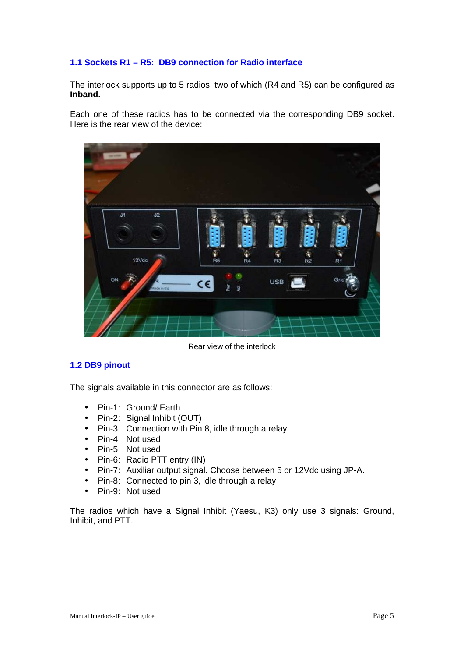#### **1.1 Sockets R1 – R5: DB9 connection for Radio interface**

The interlock supports up to 5 radios, two of which (R4 and R5) can be configured as **Inband.**

Each one of these radios has to be connected via the corresponding DB9 socket. Here is the rear view of the device:



Rear view of the interlock

#### **1.2 DB9 pinout**

The signals available in this connector are as follows:

- Pin-1: Ground/ Earth
- Pin-2: Signal Inhibit (OUT)
- Pin-3 Connection with Pin 8, idle through a relay
- Pin-4 Not used
- Pin-5 Not used
- Pin-6: Radio PTT entry (IN)
- Pin-7: Auxiliar output signal. Choose between 5 or 12Vdc using JP-A.
- Pin-8: Connected to pin 3, idle through a relay
- Pin-9: Not used

The radios which have a Signal Inhibit (Yaesu, K3) only use 3 signals: Ground, Inhibit, and PTT.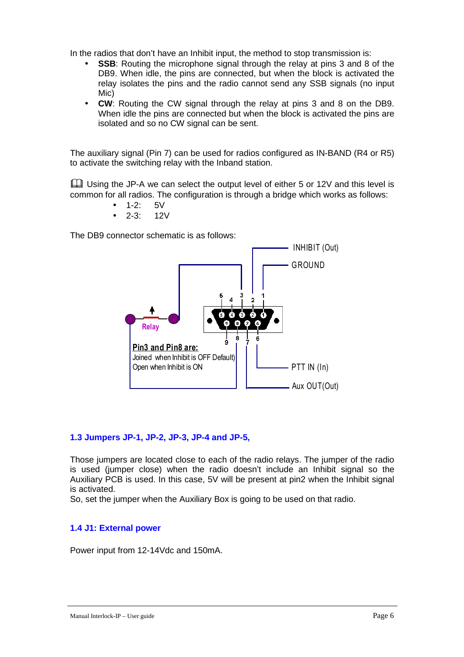In the radios that don't have an Inhibit input, the method to stop transmission is:

- **SSB**: Routing the microphone signal through the relay at pins 3 and 8 of the DB9. When idle, the pins are connected, but when the block is activated the relay isolates the pins and the radio cannot send any SSB signals (no input Mic)
- **CW**: Routing the CW signal through the relay at pins 3 and 8 on the DB9. When idle the pins are connected but when the block is activated the pins are isolated and so no CW signal can be sent.

The auxiliary signal (Pin 7) can be used for radios configured as IN-BAND (R4 or R5) to activate the switching relay with the Inband station.

 Using the JP-A we can select the output level of either 5 or 12V and this level is common for all radios. The configuration is through a bridge which works as follows:

- $1-2: 5V$
- $\bullet$  2-3: 12V

The DB9 connector schematic is as follows:



#### **1.3 Jumpers JP-1, JP-2, JP-3, JP-4 and JP-5,**

Those jumpers are located close to each of the radio relays. The jumper of the radio is used (jumper close) when the radio doesn't include an Inhibit signal so the Auxiliary PCB is used. In this case, 5V will be present at pin2 when the Inhibit signal is activated.

So, set the jumper when the Auxiliary Box is going to be used on that radio.

#### **1.4 J1: External power**

Power input from 12-14Vdc and 150mA.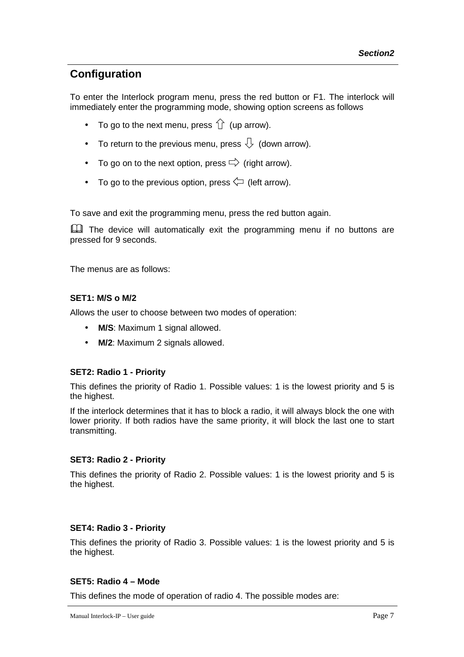## **Configuration**

To enter the Interlock program menu, press the red button or F1. The interlock will immediately enter the programming mode, showing option screens as follows

- To go to the next menu, press  $\hat{U}$  (up arrow).
- To return to the previous menu, press  $\overline{\mathcal{L}}$  (down arrow).
- To go on to the next option, press  $\Rightarrow$  (right arrow).
- To go to the previous option, press  $\leftarrow$  (left arrow).

To save and exit the programming menu, press the red button again.

**Example 1** The device will automatically exit the programming menu if no buttons are pressed for 9 seconds.

The menus are as follows:

#### **SET1: M/S o M/2**

Allows the user to choose between two modes of operation:

- **M/S**: Maximum 1 signal allowed.
- **M/2**: Maximum 2 signals allowed.

#### **SET2: Radio 1 - Priority**

This defines the priority of Radio 1. Possible values: 1 is the lowest priority and 5 is the highest.

If the interlock determines that it has to block a radio, it will always block the one with lower priority. If both radios have the same priority, it will block the last one to start transmitting.

#### **SET3: Radio 2 - Priority**

This defines the priority of Radio 2. Possible values: 1 is the lowest priority and 5 is the highest.

#### **SET4: Radio 3 - Priority**

This defines the priority of Radio 3. Possible values: 1 is the lowest priority and 5 is the highest.

#### **SET5: Radio 4 – Mode**

This defines the mode of operation of radio 4. The possible modes are: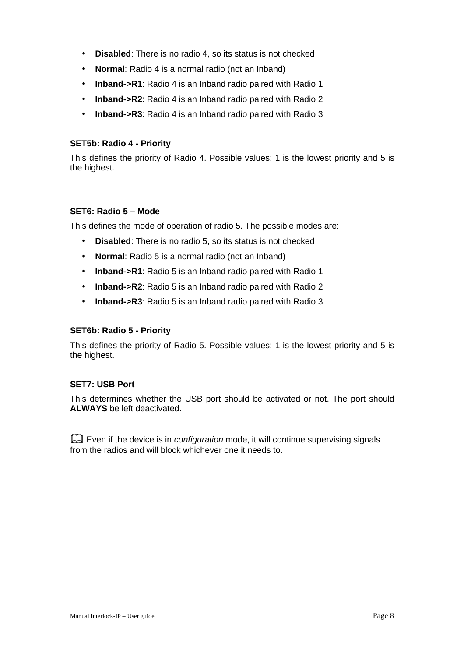- **Disabled**: There is no radio 4, so its status is not checked
- **Normal**: Radio 4 is a normal radio (not an Inband)
- **Inband->R1**: Radio 4 is an Inband radio paired with Radio 1
- **Inband->R2**: Radio 4 is an Inband radio paired with Radio 2
- **Inband->R3**: Radio 4 is an Inband radio paired with Radio 3

#### **SET5b: Radio 4 - Priority**

This defines the priority of Radio 4. Possible values: 1 is the lowest priority and 5 is the highest.

#### **SET6: Radio 5 – Mode**

This defines the mode of operation of radio 5. The possible modes are:

- **Disabled**: There is no radio 5, so its status is not checked
- **Normal**: Radio 5 is a normal radio (not an Inband)
- **Inband->R1**: Radio 5 is an Inband radio paired with Radio 1
- **Inband->R2**: Radio 5 is an Inband radio paired with Radio 2
- **Inband->R3**: Radio 5 is an Inband radio paired with Radio 3

#### **SET6b: Radio 5 - Priority**

This defines the priority of Radio 5. Possible values: 1 is the lowest priority and 5 is the highest.

#### **SET7: USB Port**

This determines whether the USB port should be activated or not. The port should **ALWAYS** be left deactivated.

Even if the device is in *configuration* mode, it will continue supervising signals from the radios and will block whichever one it needs to.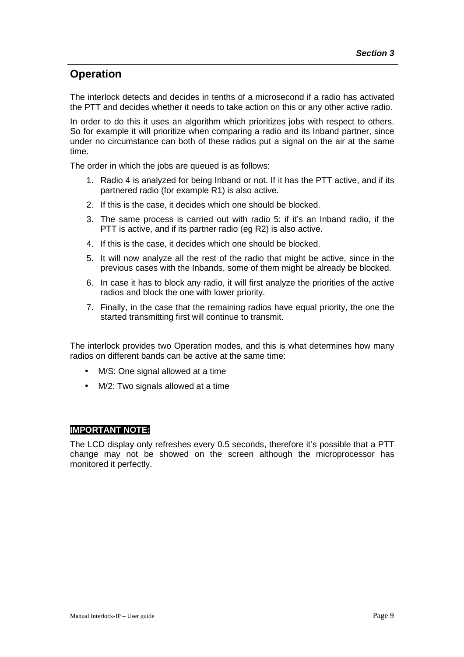## **Operation**

The interlock detects and decides in tenths of a microsecond if a radio has activated the PTT and decides whether it needs to take action on this or any other active radio.

In order to do this it uses an algorithm which prioritizes jobs with respect to others. So for example it will prioritize when comparing a radio and its Inband partner, since under no circumstance can both of these radios put a signal on the air at the same time.

The order in which the jobs are queued is as follows:

- 1. Radio 4 is analyzed for being Inband or not. If it has the PTT active, and if its partnered radio (for example R1) is also active.
- 2. If this is the case, it decides which one should be blocked.
- 3. The same process is carried out with radio 5: if it's an Inband radio, if the PTT is active, and if its partner radio (eg R2) is also active.
- 4. If this is the case, it decides which one should be blocked.
- 5. It will now analyze all the rest of the radio that might be active, since in the previous cases with the Inbands, some of them might be already be blocked.
- 6. In case it has to block any radio, it will first analyze the priorities of the active radios and block the one with lower priority.
- 7. Finally, in the case that the remaining radios have equal priority, the one the started transmitting first will continue to transmit.

The interlock provides two Operation modes, and this is what determines how many radios on different bands can be active at the same time:

- M/S: One signal allowed at a time
- M/2: Two signals allowed at a time

#### **IMPORTANT NOTE:**

The LCD display only refreshes every 0.5 seconds, therefore it's possible that a PTT change may not be showed on the screen although the microprocessor has monitored it perfectly.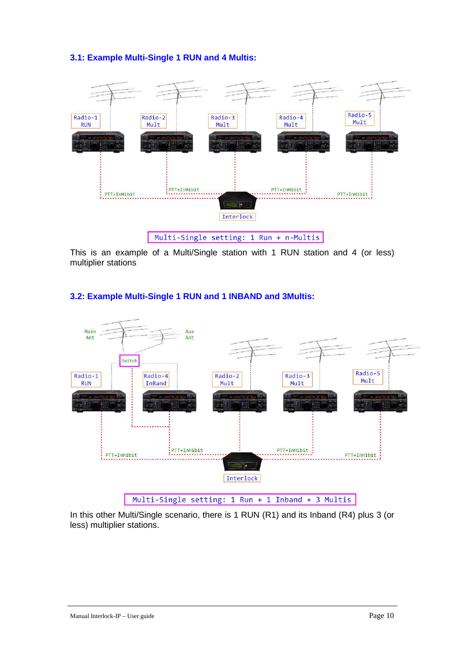#### **3.1: Example Multi-Single 1 RUN and 4 Multis:**



This is an example of a Multi/Single station with 1 RUN station and 4 (or less) multiplier stations



#### **3.2: Example Multi-Single 1 RUN and 1 INBAND and 3Multis:**

In this other Multi/Single scenario, there is 1 RUN (R1) and its Inband (R4) plus 3 (or less) multiplier stations.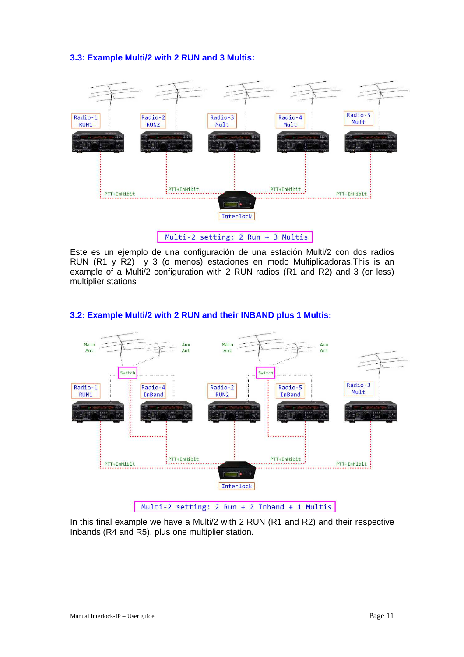#### **3.3: Example Multi/2 with 2 RUN and 3 Multis:**



Este es un ejemplo de una configuración de una estación Multi/2 con dos radios RUN (R1 y R2) y 3 (o menos) estaciones en modo Multiplicadoras.This is an example of a Multi/2 configuration with 2 RUN radios (R1 and R2) and 3 (or less) multiplier stations



#### **3.2: Example Multi/2 with 2 RUN and their INBAND plus 1 Multis:**

In this final example we have a Multi/2 with 2 RUN (R1 and R2) and their respective Inbands (R4 and R5), plus one multiplier station.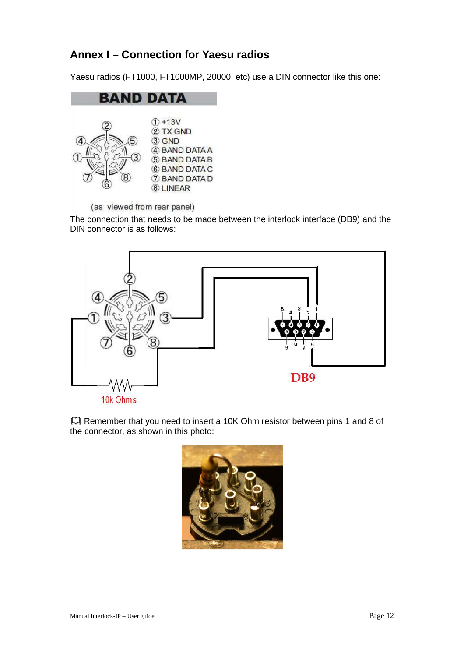## **Annex I – Connection for Yaesu radios**

Yaesu radios (FT1000, FT1000MP, 20000, etc) use a DIN connector like this one:



(as viewed from rear panel)

The connection that needs to be made between the interlock interface (DB9) and the DIN connector is as follows:



 Remember that you need to insert a 10K Ohm resistor between pins 1 and 8 of the connector, as shown in this photo:

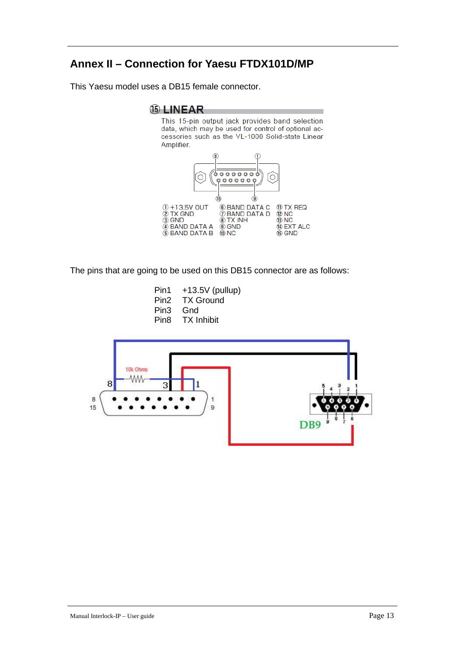## **Annex II – Connection for Yaesu FTDX101D/MP**

This Yaesu model uses a DB15 female connector.

#### **66 LINEAR**

This 15-pin output jack provides band selection data, which may be used for control of optional accessories such as the VL-1000 Solid-state Linear Amplifier.



The pins that are going to be used on this DB15 connector are as follows:

| Pin1 | $+13.5V$ (pullup) |
|------|-------------------|
| Pin2 | <b>TX Ground</b>  |
| Pin3 | Gnd               |
| Pin8 | <b>TX Inhibit</b> |
|      |                   |

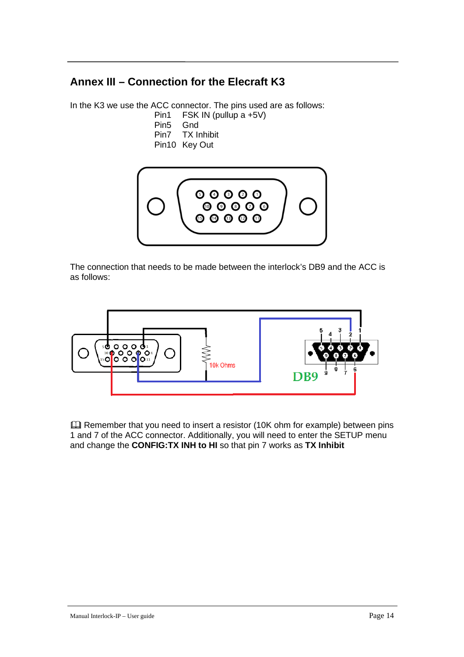## **Annex III – Connection for the Elecraft K3**

In the K3 we use the ACC connector. The pins used are as follows:

- Pin1 FSK IN (pullup a +5V)
- Pin5 Gnd
- Pin7 TX Inhibit
- Pin10 Key Out



The connection that needs to be made between the interlock's DB9 and the ACC is as follows:



 Remember that you need to insert a resistor (10K ohm for example) between pins 1 and 7 of the ACC connector. Additionally, you will need to enter the SETUP menu and change the **CONFIG:TX INH to HI** so that pin 7 works as **TX Inhibit**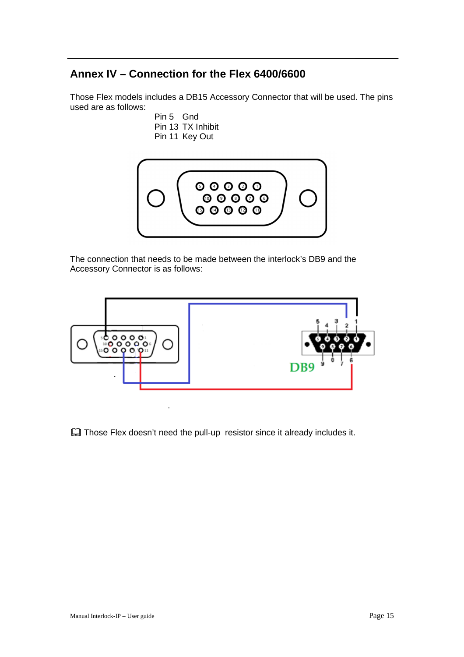## **Annex IV – Connection for the Flex 6400/6600**

Those Flex models includes a DB15 Accessory Connector that will be used. The pins used are as follows:

Pin 5 Gnd Pin 13 TX Inhibit Pin 11 Key Out



The connection that needs to be made between the interlock's DB9 and the Accessory Connector is as follows:



Those Flex doesn't need the pull-up resistor since it already includes it.

l,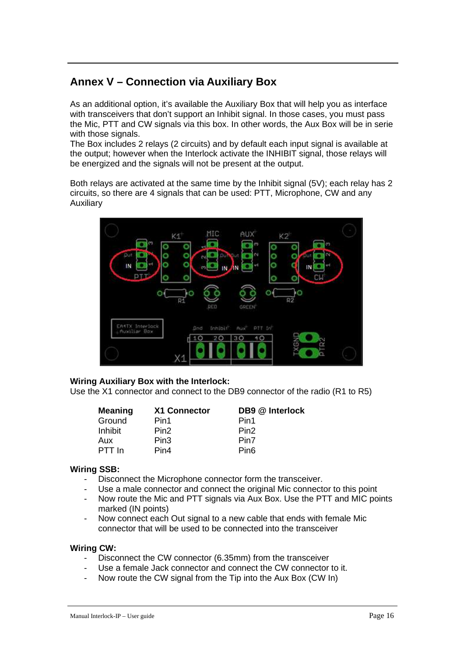## **Annex V – Connection via Auxiliary Box**

As an additional option, it's available the Auxiliary Box that will help you as interface with transceivers that don't support an Inhibit signal. In those cases, you must pass the Mic, PTT and CW signals via this box. In other words, the Aux Box will be in serie with those signals.

The Box includes 2 relays (2 circuits) and by default each input signal is available at the output; however when the Interlock activate the INHIBIT signal, those relays will be energized and the signals will not be present at the output.

Both relays are activated at the same time by the Inhibit signal (5V); each relay has 2 circuits, so there are 4 signals that can be used: PTT, Microphone, CW and any Auxiliary



#### **Wiring Auxiliary Box with the Interlock:**

Use the X1 connector and connect to the DB9 connector of the radio (R1 to R5)

| <b>Meaning</b> | X1 Connector     | DB9 @ Interlock  |
|----------------|------------------|------------------|
| Ground         | Pin1             | Pin1             |
| Inhibit        | Pin <sub>2</sub> | Pin <sub>2</sub> |
| Aux            | Pin3             | Pin7             |
| PTT In         | Pin4             | Pin <sub>6</sub> |

#### **Wiring SSB:**

- Disconnect the Microphone connector form the transceiver.
- Use a male connector and connect the original Mic connector to this point
- Now route the Mic and PTT signals via Aux Box. Use the PTT and MIC points marked (IN points)
- Now connect each Out signal to a new cable that ends with female Mic connector that will be used to be connected into the transceiver

#### **Wiring CW:**

- Disconnect the CW connector (6.35mm) from the transceiver
- Use a female Jack connector and connect the CW connector to it.
- Now route the CW signal from the Tip into the Aux Box (CW In)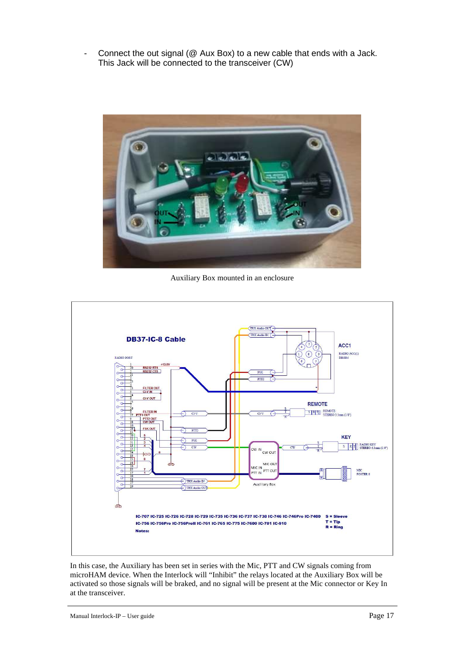- Connect the out signal (@ Aux Box) to a new cable that ends with a Jack. This Jack will be connected to the transceiver (CW)



Auxiliary Box mounted in an enclosure



In this case, the Auxiliary has been set in series with the Mic, PTT and CW signals coming from microHAM device. When the Interlock will "Inhibit" the relays located at the Auxiliary Box will be activated so those signals will be braked, and no signal will be present at the Mic connector or Key In at the transceiver.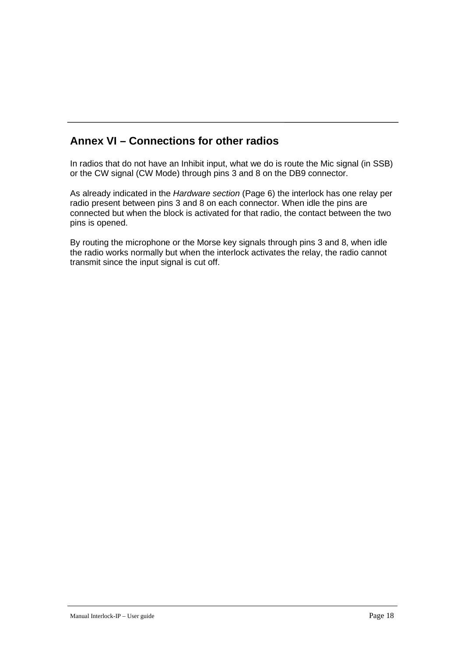## **Annex VI – Connections for other radios**

In radios that do not have an Inhibit input, what we do is route the Mic signal (in SSB) or the CW signal (CW Mode) through pins 3 and 8 on the DB9 connector.

As already indicated in the Hardware section (Page 6) the interlock has one relay per radio present between pins 3 and 8 on each connector. When idle the pins are connected but when the block is activated for that radio, the contact between the two pins is opened.

By routing the microphone or the Morse key signals through pins 3 and 8, when idle the radio works normally but when the interlock activates the relay, the radio cannot transmit since the input signal is cut off.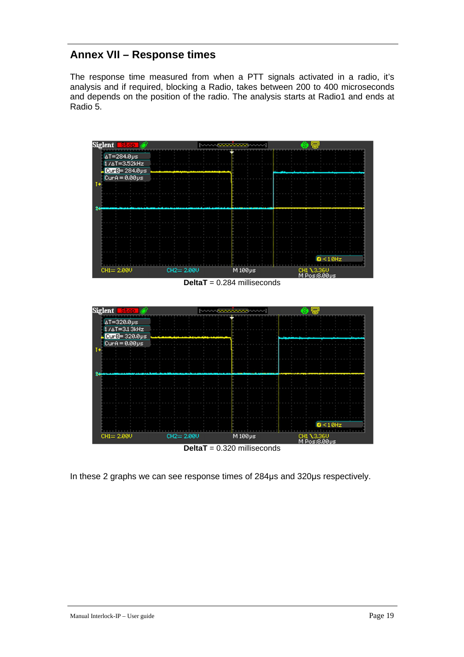## **Annex VII – Response times**

The response time measured from when a PTT signals activated in a radio, it's analysis and if required, blocking a Radio, takes between 200 to 400 microseconds and depends on the position of the radio. The analysis starts at Radio1 and ends at Radio 5.



**DeltaT** = 0.320 milliseconds

In these 2 graphs we can see response times of 284µs and 320µs respectively.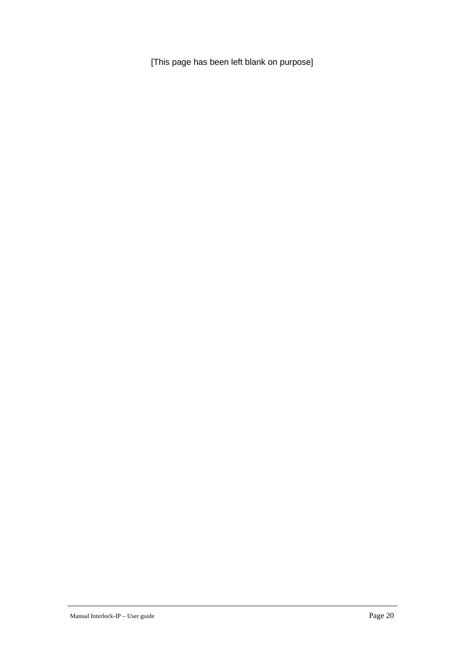[This page has been left blank on purpose]